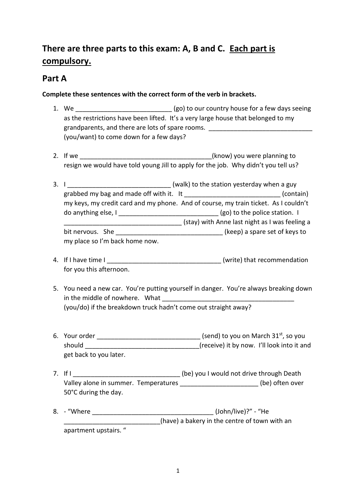# **There are three parts to this exam: A, B and C. Each part is compulsory.**

### **Part A**

#### **Complete these sentences with the correct form of the verb in brackets.**

- 1. We **the sum of the set of the set of the set of the set of the set of the set of the set of the set of the set of the set of the set of the set of the set of the set of the set of the set of the set of the set of the se** as the restrictions have been lifted. It's a very large house that belonged to my grandparents, and there are lots of spare rooms. (you/want) to come down for a few days?
- 2. If we can be a set of the control of the control (know) you were planning to resign we would have told young Jill to apply for the job. Why didn't you tell us?
- 3. I \_\_\_\_\_\_\_\_\_\_\_\_\_\_\_\_\_\_\_\_\_\_\_\_\_\_\_\_\_\_\_\_ (walk) to the station yesterday when a guy grabbed my bag and made off with it. It **the summan is a contain** (contain) my keys, my credit card and my phone. And of course, my train ticket. As I couldn't do anything else, I contract the station of the police station. I \_\_\_\_\_\_\_\_\_\_\_\_\_\_\_\_\_\_\_\_\_\_\_\_\_\_\_\_\_\_\_\_\_ (stay) with Anne last night as I was feeling a bit nervous. She \_\_\_\_\_\_\_\_\_\_\_\_\_\_\_\_\_\_\_\_\_\_\_\_\_\_\_\_\_\_\_\_\_(keep) a spare set of keys to my place so I'm back home now.
- 4. If I have time I commendation is a set of the set of the set of the set of the set of the set of the set of the set of the set of the set of the set of the set of the set of the set of the set of the set of the set of t for you this afternoon.
- 5. You need a new car. You're putting yourself in danger. You're always breaking down in the middle of nowhere. What (you/do) if the breakdown truck hadn't come out straight away?
- 6. Your order  $\frac{1}{2}$  Your order  $\frac{1}{2}$  and  $\frac{1}{2}$  and  $\frac{1}{2}$  (send) to you on March 31st, so you should should should should should  $(receive)$  it by now. I'll look into it and get back to you later.
- 7. If I can be a strategied as  $\frac{1}{2}$  (be) you I would not drive through Death Valley alone in summer. Temperatures **Walley alone in summer.** Temperatures 50°C during the day.
- 8. "Where (John/live)?" "He (have) a bakery in the centre of town with an apartment upstairs. "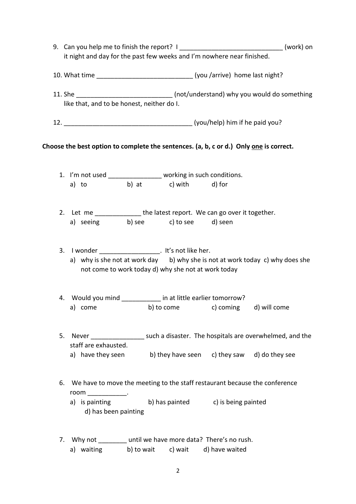|    | 9. Can you help me to finish the report? I ______________________________(work) on<br>it night and day for the past few weeks and I'm nowhere near finished. |            |  |                                                                               |                                                                                       |  |
|----|--------------------------------------------------------------------------------------------------------------------------------------------------------------|------------|--|-------------------------------------------------------------------------------|---------------------------------------------------------------------------------------|--|
|    |                                                                                                                                                              |            |  | 10. What time _________________________________(you /arrive) home last night? |                                                                                       |  |
|    | like that, and to be honest, neither do I.                                                                                                                   |            |  |                                                                               | 11. She _________________________________ (not/understand) why you would do something |  |
|    |                                                                                                                                                              |            |  |                                                                               |                                                                                       |  |
|    | Choose the best option to complete the sentences. (a, b, c or d.) Only one is correct.                                                                       |            |  |                                                                               |                                                                                       |  |
|    | 1. I'm not used _________________ working in such conditions.                                                                                                |            |  |                                                                               |                                                                                       |  |
|    | a) to b) at c) with d) for                                                                                                                                   |            |  |                                                                               |                                                                                       |  |
|    | 2. Let me ________________ the latest report. We can go over it together.                                                                                    |            |  |                                                                               |                                                                                       |  |
|    | a) seeing b) see c) to see d) seen                                                                                                                           |            |  |                                                                               |                                                                                       |  |
|    | 3. I wonder ___________________. It's not like her.<br>not come to work today d) why she not at work today                                                   |            |  |                                                                               | a) why is she not at work day b) why she is not at work today c) why does she         |  |
|    | 4. Would you mind ____________ in at little earlier tomorrow?                                                                                                |            |  |                                                                               |                                                                                       |  |
|    | a) come and a series and a series of the series of the series of the series of the series of the series of the                                               |            |  | b) to come c) coming d) will come                                             |                                                                                       |  |
| 5. | staff are exhausted.                                                                                                                                         |            |  |                                                                               | Never _____________________ such a disaster. The hospitals are overwhelmed, and the   |  |
|    | a) have they seen                                                                                                                                            |            |  | b) they have seen c) they saw d) do they see                                  |                                                                                       |  |
|    | 6. We have to move the meeting to the staff restaurant because the conference<br>$room$ ______________.                                                      |            |  |                                                                               |                                                                                       |  |
|    | a) is painting b) has painted c) is being painted<br>d) has been painting                                                                                    |            |  |                                                                               |                                                                                       |  |
|    | 7. Why not until we have more data? There's no rush.                                                                                                         |            |  |                                                                               |                                                                                       |  |
|    | a) waiting                                                                                                                                                   | b) to wait |  | c) wait d) have waited                                                        |                                                                                       |  |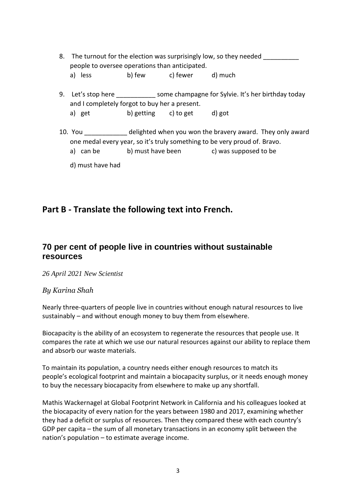- 8. The turnout for the election was surprisingly low, so they needed people to oversee operations than anticipated. a) less b) few c) fewer d) much
- 9. Let's stop here \_\_\_\_\_\_\_\_\_\_\_\_ some champagne for Sylvie. It's her birthday today and I completely forgot to buy her a present.
	- a) get b) getting c) to get d) got
- 10. You \_\_\_\_\_\_\_\_\_\_\_\_ delighted when you won the bravery award. They only award one medal every year, so it's truly something to be very proud of. Bravo.
	- a) can be b) must have been c) was supposed to be
	- d) must have had

## **Part B - Translate the following text into French.**

### **70 per cent of people live in countries without sustainable resources**

*26 April 2021 New Scientist*

#### *By [Karina Shah](https://www.newscientist.com/author/karina-shah/)*

Nearly three-quarters of people live in countries without enough natural resources to live sustainably – and without enough money to buy them from elsewhere.

[Biocapacity](https://www.newscientist.com/article/mg23931892-100-earth-overshoot-day-what-to-make-of-this-moment-of-reckoning/) is the ability of an ecosystem to regenerate the resources that people use. It compares the rate at which we use our natural resources against our ability to replace them and absorb our waste materials.

To maintain its population, a country needs either enough resources to match its people's [ecological footprint](https://www.newscientist.com/article/mg22029445-000-admit-it-we-cant-measure-our-ecological-footprint/) and maintain a biocapacity surplus, or it needs enough money to buy the necessary biocapacity from elsewhere to make up any shortfall.

Mathis Wackernagel at Global Footprint Network in California and his colleagues looked at the biocapacity of every nation for the years between 1980 and 2017, examining whether they had a deficit or surplus of resources. Then they compared these with each country's GDP per capita – the sum of all monetary transactions in an economy split between the nation's population – to estimate average income.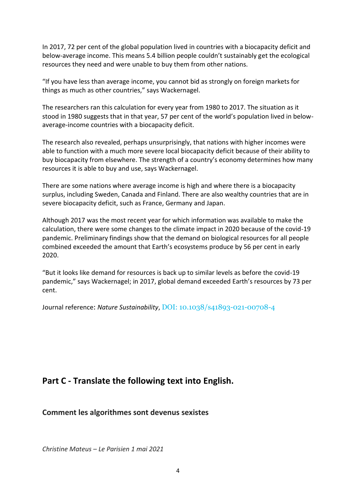In 2017, 72 per cent of the global population lived in countries with a biocapacity deficit and below-average income. This means 5.4 billion people couldn't sustainably get the ecological resources they need and were unable to buy them from other nations.

"If you have less than average income, you cannot bid as strongly on foreign markets for things as much as other countries," says Wackernagel.

The researchers ran this calculation for every year from 1980 to 2017. The situation as it stood in 1980 suggests that in that year, 57 per cent of the world's population lived in belowaverage-income countries with a biocapacity deficit.

The research also revealed, perhaps unsurprisingly, that nations with higher incomes were able to function with a much more severe local biocapacity deficit because of their ability to buy biocapacity from elsewhere. The strength of a country's economy determines how many resources it is able to buy and use, says Wackernagel.

There are some nations where average income is high and where there is a biocapacity surplus, including Sweden, Canada and Finland. There are also wealthy countries that are in severe biocapacity deficit, such as France, Germany and Japan.

Although 2017 was the most recent year for which information was available to make the calculation, there were [some changes to the climate impact in 2020 because of the covid-19](https://www.newscientist.com/article/mg24833040-900-how-the-coronavirus-has-impacted-climate-change-for-good-and-bad/)  [pandemic.](https://www.newscientist.com/article/mg24833040-900-how-the-coronavirus-has-impacted-climate-change-for-good-and-bad/) Preliminary findings show that the demand on biological resources for all people combined exceeded the amount that Earth's ecosystems produce by 56 per cent in early 2020.

"But it looks like demand for resources is back up to similar levels as before the covid-19 pandemic," says Wackernagel; in 2017, global demand exceeded Earth's resources by 73 per cent.

Journal reference: *Nature Sustainability*, DOI: [10.1038/s41893-021-00708-4](https://doi.org/10.1038/s41893-021-00708-4)

# **Part C - Translate the following text into English.**

**Comment les algorithmes sont devenus sexistes**

*Christine Mateus – Le Parisien 1 mai 2021*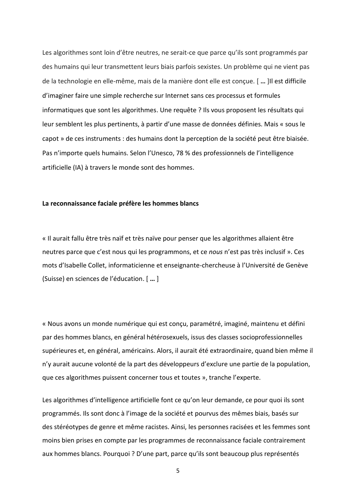Les algorithmes sont loin d'être neutres, ne serait-ce que parce qu'ils sont programmés par des humains qui leur transmettent leurs biais parfois sexistes. Un problème qui ne vient pas de la technologie en elle-même, mais de la manière dont elle est conçue. [ **…** ]Il est difficile d'imaginer faire une simple recherche sur Internet sans ces processus et formules informatiques que sont les algorithmes. Une requête ? Ils vous proposent les résultats qui leur semblent les plus pertinents, à partir d'une masse de données définies. Mais « sous le capot » de ces instruments : des humains dont la perception de la société peut être biaisée. Pas n'importe quels humains. Selon l'Unesco, [78 % des professionnels de l'in](https://www.leparisien.fr/sentinelles/femmes-dans-la-tech-comment-elles-sont-passees-du-statut-de-pionnieres-a-celui-dinvisibles-17-02-2021-VYKUVKVQMZAPZAJECCCQ3ZV34Y.php)telligence [artificielle \(IA\) à travers le monde sont des hommes.](https://www.leparisien.fr/sentinelles/femmes-dans-la-tech-comment-elles-sont-passees-du-statut-de-pionnieres-a-celui-dinvisibles-17-02-2021-VYKUVKVQMZAPZAJECCCQ3ZV34Y.php)

#### **La reconnaissance faciale préfère les hommes blancs**

« Il aurait fallu être très naïf et très naïve pour penser que les algorithmes allaient être neutres parce que c'est nous qui les programmons, et ce *nous* n'est pas très inclusif ». Ces mots d'Isabelle Collet, informaticienne et enseignante-chercheuse à l'Université de Genève (Suisse) en sciences de l'éducation. [ **…** ]

« Nous avons un monde numérique qui est conçu, paramétré, imaginé, maintenu et défini par des hommes blancs, en général hétérosexuels, issus des classes socioprofessionnelles supérieures et, en général, américains. Alors, il aurait été extraordinaire, quand bien même il n'y aurait aucune volonté de la part des développeurs d'exclure une partie de la population, que ces algorithmes puissent concerner tous et toutes », tranche l'experte.

Les algorithmes d'intelligence artificielle font ce qu'on leur demande, ce pour quoi ils sont programmés. Ils sont donc à l'image de la société et pourvus des mêmes biais, basés sur des [stéréotypes de genre](https://www.leparisien.fr/sentinelles/combattre-les-stereotypes-de-genre-des-8-ans-le-pari-de-cette-classe-de-ce2-11-02-2021-MROKHLBTRRDHBKUKWRWWI7WI7I.php) et même racistes. Ainsi, les personnes racisées et les femmes sont moins bien prises en compte par les programmes de reconnaissance faciale contrairement aux hommes blancs. Pourquoi ? D'une part, parce qu'ils sont beaucoup plus représentés

5